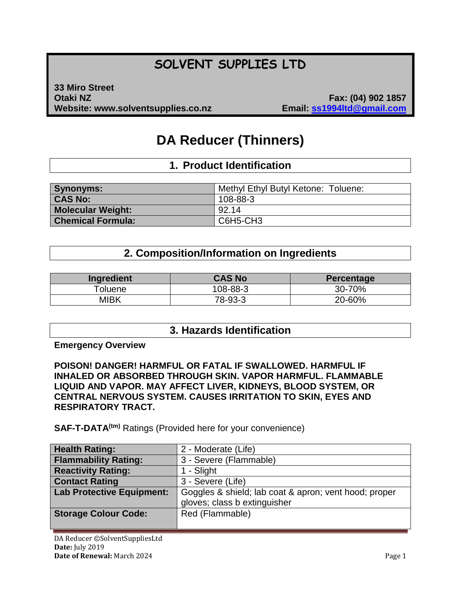# **SOLVENT SUPPLIES LTD**

**33 Miro Street Otaki NZ Fax: (04) 902 1857 Website: www.solventsupplies.co.nz** 

# **DA Reducer (Thinners)**

# **1. Product Identification**

| <b>Synonyms:</b>         | Methyl Ethyl Butyl Ketone: Toluene: |
|--------------------------|-------------------------------------|
| <b>CAS No:</b>           | 108-88-3                            |
| <b>Molecular Weight:</b> | 92.14                               |
| <b>Chemical Formula:</b> | C6H5-CH3                            |

# **2. Composition/Information on Ingredients**

| Ingredient | <b>CAS No</b> | <b>Percentage</b> |
|------------|---------------|-------------------|
| Toluene    | 108-88-3      | 30-70%            |
| MIBK       | 78-93-3       | 20-60%            |

# **3. Hazards Identification**

**Emergency Overview**

**POISON! DANGER! HARMFUL OR FATAL IF SWALLOWED. HARMFUL IF INHALED OR ABSORBED THROUGH SKIN. VAPOR HARMFUL. FLAMMABLE LIQUID AND VAPOR. MAY AFFECT LIVER, KIDNEYS, BLOOD SYSTEM, OR CENTRAL NERVOUS SYSTEM. CAUSES IRRITATION TO SKIN, EYES AND RESPIRATORY TRACT.**

**SAF-T-DATA(tm)** Ratings (Provided here for your convenience)

| <b>Health Rating:</b>            | 2 - Moderate (Life)                                   |
|----------------------------------|-------------------------------------------------------|
| <b>Flammability Rating:</b>      | 3 - Severe (Flammable)                                |
| <b>Reactivity Rating:</b>        | 1 - Slight                                            |
| <b>Contact Rating</b>            | 3 - Severe (Life)                                     |
| <b>Lab Protective Equipment:</b> | Goggles & shield; lab coat & apron; vent hood; proper |
|                                  | gloves; class b extinguisher                          |
| <b>Storage Colour Code:</b>      | Red (Flammable)                                       |
|                                  |                                                       |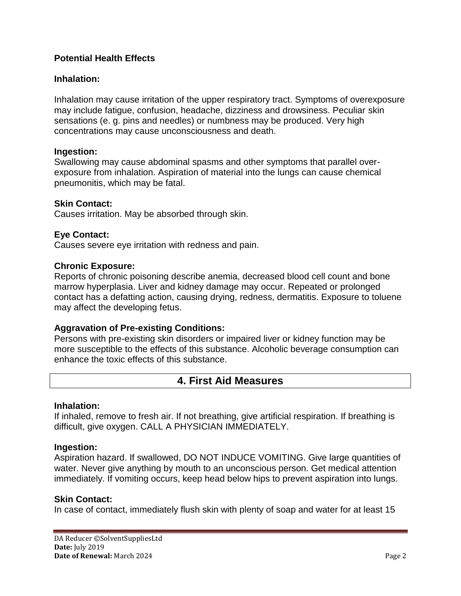# **Potential Health Effects**

### **Inhalation:**

Inhalation may cause irritation of the upper respiratory tract. Symptoms of overexposure may include fatigue, confusion, headache, dizziness and drowsiness. Peculiar skin sensations (e. g. pins and needles) or numbness may be produced. Very high concentrations may cause unconsciousness and death.

### **Ingestion:**

Swallowing may cause abdominal spasms and other symptoms that parallel overexposure from inhalation. Aspiration of material into the lungs can cause chemical pneumonitis, which may be fatal.

### **Skin Contact:**

Causes irritation. May be absorbed through skin.

### **Eye Contact:**

Causes severe eye irritation with redness and pain.

### **Chronic Exposure:**

Reports of chronic poisoning describe anemia, decreased blood cell count and bone marrow hyperplasia. Liver and kidney damage may occur. Repeated or prolonged contact has a defatting action, causing drying, redness, dermatitis. Exposure to toluene may affect the developing fetus.

## **Aggravation of Pre-existing Conditions:**

Persons with pre-existing skin disorders or impaired liver or kidney function may be more susceptible to the effects of this substance. Alcoholic beverage consumption can enhance the toxic effects of this substance.

# **4. First Aid Measures**

#### **Inhalation:**

If inhaled, remove to fresh air. If not breathing, give artificial respiration. If breathing is difficult, give oxygen. CALL A PHYSICIAN IMMEDIATELY.

### **Ingestion:**

Aspiration hazard. If swallowed, DO NOT INDUCE VOMITING. Give large quantities of water. Never give anything by mouth to an unconscious person. Get medical attention immediately. If vomiting occurs, keep head below hips to prevent aspiration into lungs.

### **Skin Contact:**

In case of contact, immediately flush skin with plenty of soap and water for at least 15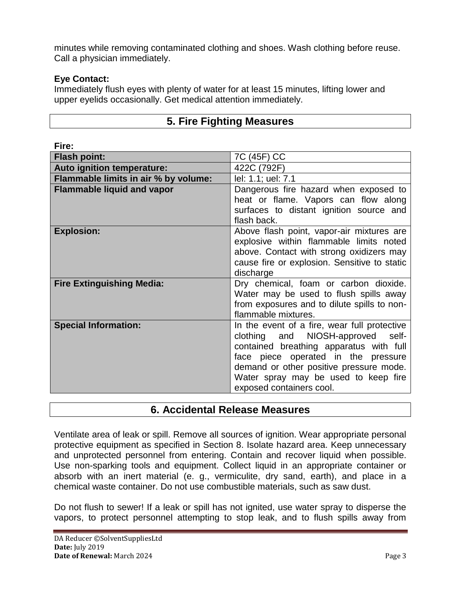minutes while removing contaminated clothing and shoes. Wash clothing before reuse. Call a physician immediately.

# **Eye Contact:**

Immediately flush eyes with plenty of water for at least 15 minutes, lifting lower and upper eyelids occasionally. Get medical attention immediately.

| Fire:                                |                                                                                                                                                                                                                                                                                    |
|--------------------------------------|------------------------------------------------------------------------------------------------------------------------------------------------------------------------------------------------------------------------------------------------------------------------------------|
| <b>Flash point:</b>                  | 7C (45F) CC                                                                                                                                                                                                                                                                        |
| Auto ignition temperature:           | 422C (792F)                                                                                                                                                                                                                                                                        |
| Flammable limits in air % by volume: | lel: 1.1; uel: 7.1                                                                                                                                                                                                                                                                 |
| <b>Flammable liquid and vapor</b>    | Dangerous fire hazard when exposed to<br>heat or flame. Vapors can flow along<br>surfaces to distant ignition source and<br>flash back.                                                                                                                                            |
| <b>Explosion:</b>                    | Above flash point, vapor-air mixtures are<br>explosive within flammable limits noted<br>above. Contact with strong oxidizers may<br>cause fire or explosion. Sensitive to static<br>discharge                                                                                      |
| <b>Fire Extinguishing Media:</b>     | Dry chemical, foam or carbon dioxide.<br>Water may be used to flush spills away<br>from exposures and to dilute spills to non-<br>flammable mixtures.                                                                                                                              |
| <b>Special Information:</b>          | In the event of a fire, wear full protective<br>clothing and NIOSH-approved self-<br>contained breathing apparatus with full<br>face piece operated in the pressure<br>demand or other positive pressure mode.<br>Water spray may be used to keep fire<br>exposed containers cool. |

# **5. Fire Fighting Measures**

# **6. Accidental Release Measures**

Ventilate area of leak or spill. Remove all sources of ignition. Wear appropriate personal protective equipment as specified in Section 8. Isolate hazard area. Keep unnecessary and unprotected personnel from entering. Contain and recover liquid when possible. Use non-sparking tools and equipment. Collect liquid in an appropriate container or absorb with an inert material (e. g., vermiculite, dry sand, earth), and place in a chemical waste container. Do not use combustible materials, such as saw dust.

Do not flush to sewer! If a leak or spill has not ignited, use water spray to disperse the vapors, to protect personnel attempting to stop leak, and to flush spills away from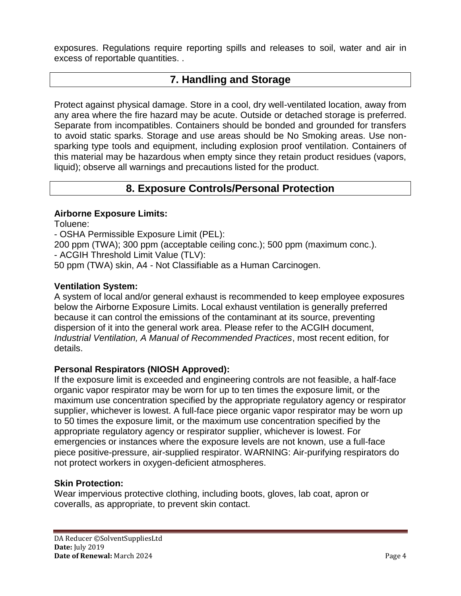exposures. Regulations require reporting spills and releases to soil, water and air in excess of reportable quantities. .

# **7. Handling and Storage**

Protect against physical damage. Store in a cool, dry well-ventilated location, away from any area where the fire hazard may be acute. Outside or detached storage is preferred. Separate from incompatibles. Containers should be bonded and grounded for transfers to avoid static sparks. Storage and use areas should be No Smoking areas. Use nonsparking type tools and equipment, including explosion proof ventilation. Containers of this material may be hazardous when empty since they retain product residues (vapors, liquid); observe all warnings and precautions listed for the product.

# **8. Exposure Controls/Personal Protection**

# **Airborne Exposure Limits:**

Toluene:

- OSHA Permissible Exposure Limit (PEL):

200 ppm (TWA); 300 ppm (acceptable ceiling conc.); 500 ppm (maximum conc.).

- ACGIH Threshold Limit Value (TLV):

50 ppm (TWA) skin, A4 - Not Classifiable as a Human Carcinogen.

# **Ventilation System:**

A system of local and/or general exhaust is recommended to keep employee exposures below the Airborne Exposure Limits. Local exhaust ventilation is generally preferred because it can control the emissions of the contaminant at its source, preventing dispersion of it into the general work area. Please refer to the ACGIH document, *Industrial Ventilation, A Manual of Recommended Practices*, most recent edition, for details.

# **Personal Respirators (NIOSH Approved):**

If the exposure limit is exceeded and engineering controls are not feasible, a half-face organic vapor respirator may be worn for up to ten times the exposure limit, or the maximum use concentration specified by the appropriate regulatory agency or respirator supplier, whichever is lowest. A full-face piece organic vapor respirator may be worn up to 50 times the exposure limit, or the maximum use concentration specified by the appropriate regulatory agency or respirator supplier, whichever is lowest. For emergencies or instances where the exposure levels are not known, use a full-face piece positive-pressure, air-supplied respirator. WARNING: Air-purifying respirators do not protect workers in oxygen-deficient atmospheres.

# **Skin Protection:**

Wear impervious protective clothing, including boots, gloves, lab coat, apron or coveralls, as appropriate, to prevent skin contact.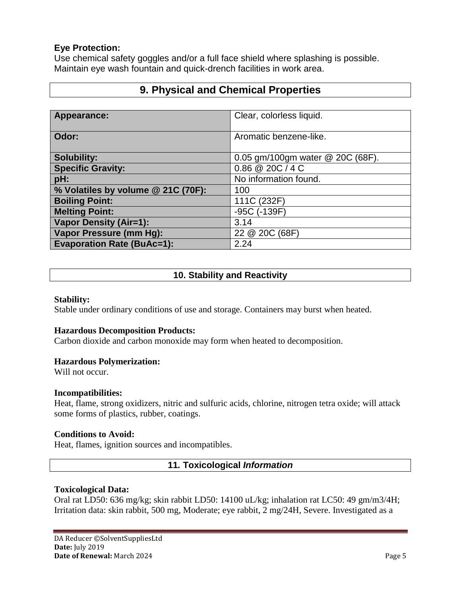### **Eye Protection:**

Use chemical safety goggles and/or a full face shield where splashing is possible. Maintain eye wash fountain and quick-drench facilities in work area.

# **9. Physical and Chemical Properties**

| Appearance:                        | Clear, colorless liquid.           |
|------------------------------------|------------------------------------|
|                                    |                                    |
| Odor:                              | Aromatic benzene-like.             |
|                                    |                                    |
| <b>Solubility:</b>                 | 0.05 gm/100gm water $@$ 20C (68F). |
| <b>Specific Gravity:</b>           | $0.86 \ @ 20C / 4C$                |
| pH:                                | No information found.              |
| % Volatiles by volume @ 21C (70F): | 100                                |
| <b>Boiling Point:</b>              | 111C (232F)                        |
| <b>Melting Point:</b>              | -95C (-139F)                       |
| <b>Vapor Density (Air=1):</b>      | 3.14                               |
| Vapor Pressure (mm Hg):            | 22 @ 20C (68F)                     |
| <b>Evaporation Rate (BuAc=1):</b>  | 2.24                               |

# **10. Stability and Reactivity**

#### **Stability:**

Stable under ordinary conditions of use and storage. Containers may burst when heated.

### **Hazardous Decomposition Products:**

Carbon dioxide and carbon monoxide may form when heated to decomposition.

#### **Hazardous Polymerization:**

Will not occur.

### **Incompatibilities:**

Heat, flame, strong oxidizers, nitric and sulfuric acids, chlorine, nitrogen tetra oxide; will attack some forms of plastics, rubber, coatings.

#### **Conditions to Avoid:**

Heat, flames, ignition sources and incompatibles.

## **11***.* **Toxicological** *Information*

### **Toxicological Data:**

Oral rat LD50: 636 mg/kg; skin rabbit LD50: 14100 uL/kg; inhalation rat LC50: 49 gm/m3/4H; Irritation data: skin rabbit, 500 mg, Moderate; eye rabbit, 2 mg/24H, Severe. Investigated as a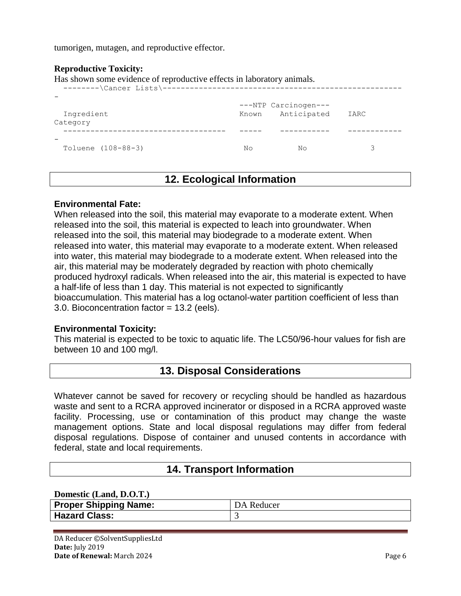tumorigen, mutagen, and reproductive effector.

## **Reproductive Toxicity:**

Has shown some evidence of reproductive effects in laboratory animals.

|                    |    | ---NTP Carcinogen--- |      |
|--------------------|----|----------------------|------|
| Ingredient         |    | Known Anticipated    | IARC |
| Category           |    |                      |      |
|                    |    |                      |      |
| Toluene (108-88-3) | Nο | Nο                   |      |

# **12. Ecological Information**

### **Environmental Fate:**

When released into the soil, this material may evaporate to a moderate extent. When released into the soil, this material is expected to leach into groundwater. When released into the soil, this material may biodegrade to a moderate extent. When released into water, this material may evaporate to a moderate extent. When released into water, this material may biodegrade to a moderate extent. When released into the air, this material may be moderately degraded by reaction with photo chemically produced hydroxyl radicals. When released into the air, this material is expected to have a half-life of less than 1 day. This material is not expected to significantly bioaccumulation. This material has a log octanol-water partition coefficient of less than 3.0. Bioconcentration factor = 13.2 (eels).

## **Environmental Toxicity:**

This material is expected to be toxic to aquatic life. The LC50/96-hour values for fish are between 10 and 100 mg/l.

# **13. Disposal Considerations**

Whatever cannot be saved for recovery or recycling should be handled as hazardous waste and sent to a RCRA approved incinerator or disposed in a RCRA approved waste facility. Processing, use or contamination of this product may change the waste management options. State and local disposal regulations may differ from federal disposal regulations. Dispose of container and unused contents in accordance with federal, state and local requirements.

# **14. Transport Information**

#### **Domestic (Land, D.O.T.)**

| <b>Proper Shipping Name:</b> | DA Reducer |
|------------------------------|------------|
| <b>Hazard Class:</b>         |            |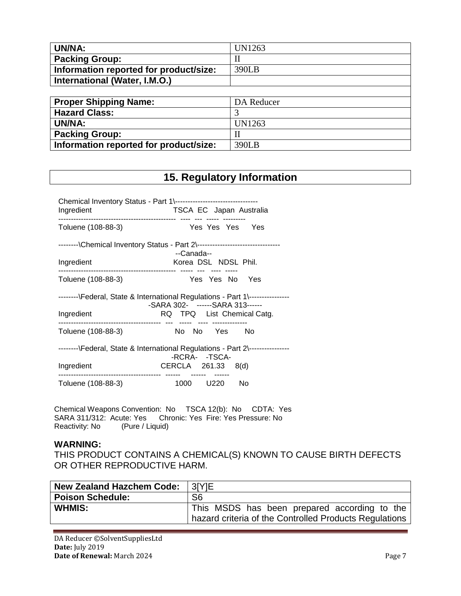| <b>UN/NA:</b>                          | <b>UN1263</b> |
|----------------------------------------|---------------|
| <b>Packing Group:</b>                  | $_{\rm II}$   |
| Information reported for product/size: | 390LB         |
| International (Water, I.M.O.)          |               |
|                                        |               |
| <b>Proper Shipping Name:</b>           | DA Reducer    |
| <b>Hazard Class:</b>                   | 3             |
| <b>UN/NA:</b>                          | <b>UN1263</b> |
| <b>Packing Group:</b>                  | $\rm II$      |
| Information reported for product/size: | 390LB         |

# **15. Regulatory Information**

| Chemical Inventory Status - Part 1\--------------------------------- |                                                                                                                  |
|----------------------------------------------------------------------|------------------------------------------------------------------------------------------------------------------|
| Ingredient                                                           | TSCA EC Japan Australia                                                                                          |
| Toluene (108-88-3)                                                   | ------<br>Yes Yes Yes Yes                                                                                        |
|                                                                      | --------\Chemical Inventory Status - Part 2\-----------------------------------<br>--Canada--                    |
| Ingredient                                                           | Korea DSL NDSL Phil.                                                                                             |
| Toluene (108-88-3)                                                   | Yes Yes No<br>Yes                                                                                                |
|                                                                      | --------\Federal, State & International Regulations - Part 1\----------------<br>-SARA 302- ------SARA 313------ |
| Ingredient                                                           | RQ TPQ List Chemical Catg.                                                                                       |
| Toluene (108-88-3)                                                   | No No Yes<br>No                                                                                                  |
|                                                                      | --------\Federal, State & International Regulations - Part 2\----------------<br>-RCRA- -TSCA-                   |
| Ingredient                                                           | CERCLA 261.33 8(d)                                                                                               |
| Toluene (108-88-3)                                                   | 1000 U220<br>No.                                                                                                 |

Chemical Weapons Convention: No TSCA 12(b): No CDTA: Yes SARA 311/312: Acute: Yes Chronic: Yes Fire: Yes Pressure: No Reactivity: No (Pure / Liquid)

#### **WARNING:**

THIS PRODUCT CONTAINS A CHEMICAL(S) KNOWN TO CAUSE BIRTH DEFECTS OR OTHER REPRODUCTIVE HARM.

| <b>New Zealand Hazchem Code:</b> | 3[Y]E                                                  |
|----------------------------------|--------------------------------------------------------|
| <b>Poison Schedule:</b>          | S <sub>6</sub>                                         |
| <b>WHMIS:</b>                    | This MSDS has been prepared according to the           |
|                                  | hazard criteria of the Controlled Products Regulations |